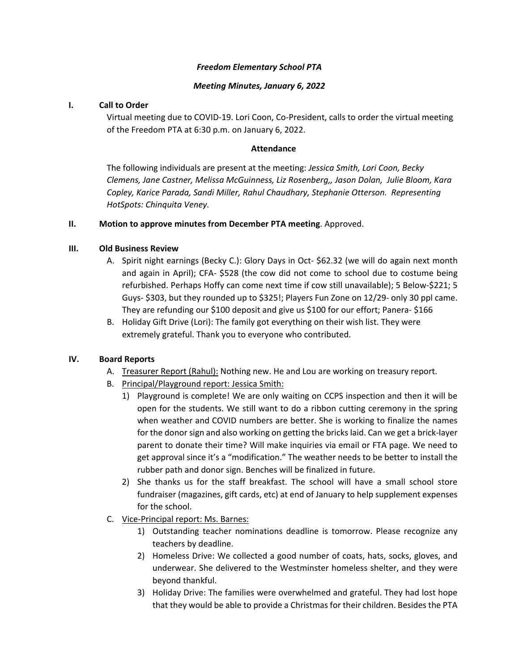### *Freedom Elementary School PTA*

### *Meeting Minutes, January 6, 2022*

## **I. Call to Order**

Virtual meeting due to COVID-19. Lori Coon, Co-President, calls to order the virtual meeting of the Freedom PTA at 6:30 p.m. on January 6, 2022.

## **Attendance**

The following individuals are present at the meeting: *Jessica Smith, Lori Coon, Becky Clemens, Jane Castner, Melissa McGuinness, Liz Rosenberg,, Jason Dolan, Julie Bloom, Kara Copley, Karice Parada, Sandi Miller, Rahul Chaudhary, Stephanie Otterson. Representing HotSpots: Chinquita Veney.* 

## **II. Motion to approve minutes from December PTA meeting**. Approved.

## **III. Old Business Review**

- A. Spirit night earnings (Becky C.): Glory Days in Oct- \$62.32 (we will do again next month and again in April); CFA- \$528 (the cow did not come to school due to costume being refurbished. Perhaps Hoffy can come next time if cow still unavailable); 5 Below-\$221; 5 Guys- \$303, but they rounded up to \$325!; Players Fun Zone on 12/29- only 30 ppl came. They are refunding our \$100 deposit and give us \$100 for our effort; Panera- \$166
- B. Holiday Gift Drive (Lori): The family got everything on their wish list. They were extremely grateful. Thank you to everyone who contributed.

# **IV. Board Reports**

- A. Treasurer Report (Rahul): Nothing new. He and Lou are working on treasury report.
- B. Principal/Playground report: Jessica Smith:
	- 1) Playground is complete! We are only waiting on CCPS inspection and then it will be open for the students. We still want to do a ribbon cutting ceremony in the spring when weather and COVID numbers are better. She is working to finalize the names for the donor sign and also working on getting the bricks laid. Can we get a brick-layer parent to donate their time? Will make inquiries via email or FTA page. We need to get approval since it's a "modification." The weather needs to be better to install the rubber path and donor sign. Benches will be finalized in future.
	- 2) She thanks us for the staff breakfast. The school will have a small school store fundraiser (magazines, gift cards, etc) at end of January to help supplement expenses for the school.
- C. Vice-Principal report: Ms. Barnes:
	- 1) Outstanding teacher nominations deadline is tomorrow. Please recognize any teachers by deadline.
	- 2) Homeless Drive: We collected a good number of coats, hats, socks, gloves, and underwear. She delivered to the Westminster homeless shelter, and they were beyond thankful.
	- 3) Holiday Drive: The families were overwhelmed and grateful. They had lost hope that they would be able to provide a Christmas for their children. Besides the PTA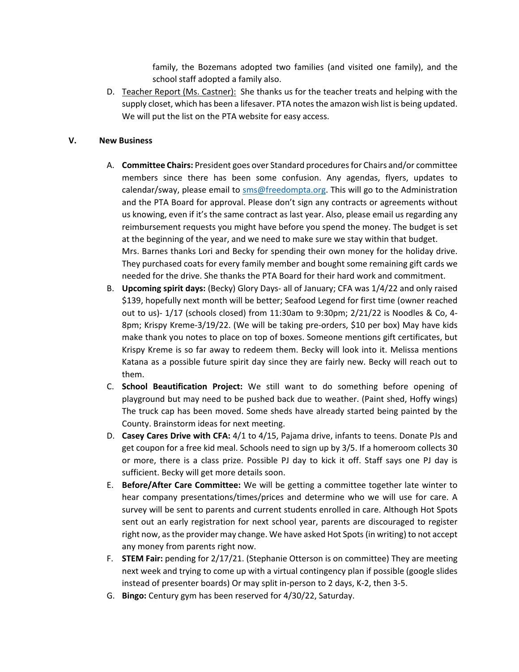family, the Bozemans adopted two families (and visited one family), and the school staff adopted a family also.

D. Teacher Report (Ms. Castner): She thanks us for the teacher treats and helping with the supply closet, which has been a lifesaver. PTA notes the amazon wish list is being updated. We will put the list on the PTA website for easy access.

### **V. New Business**

- A. **Committee Chairs:** President goes over Standard procedures for Chairs and/or committee members since there has been some confusion. Any agendas, flyers, updates to calendar/sway, please email to [sms@freedompta.org.](mailto:sms@freedompta.org) This will go to the Administration and the PTA Board for approval. Please don't sign any contracts or agreements without us knowing, even if it's the same contract as last year. Also, please email us regarding any reimbursement requests you might have before you spend the money. The budget is set at the beginning of the year, and we need to make sure we stay within that budget. Mrs. Barnes thanks Lori and Becky for spending their own money for the holiday drive. They purchased coats for every family member and bought some remaining gift cards we needed for the drive. She thanks the PTA Board for their hard work and commitment.
- B. **Upcoming spirit days:** (Becky) Glory Days- all of January; CFA was 1/4/22 and only raised \$139, hopefully next month will be better; Seafood Legend for first time (owner reached out to us)- 1/17 (schools closed) from 11:30am to 9:30pm; 2/21/22 is Noodles & Co, 4- 8pm; Krispy Kreme-3/19/22. (We will be taking pre-orders, \$10 per box) May have kids make thank you notes to place on top of boxes. Someone mentions gift certificates, but Krispy Kreme is so far away to redeem them. Becky will look into it. Melissa mentions Katana as a possible future spirit day since they are fairly new. Becky will reach out to them.
- C. **School Beautification Project:** We still want to do something before opening of playground but may need to be pushed back due to weather. (Paint shed, Hoffy wings) The truck cap has been moved. Some sheds have already started being painted by the County. Brainstorm ideas for next meeting.
- D. **Casey Cares Drive with CFA:** 4/1 to 4/15, Pajama drive, infants to teens. Donate PJs and get coupon for a free kid meal. Schools need to sign up by 3/5. If a homeroom collects 30 or more, there is a class prize. Possible PJ day to kick it off. Staff says one PJ day is sufficient. Becky will get more details soon.
- E. **Before/After Care Committee:** We will be getting a committee together late winter to hear company presentations/times/prices and determine who we will use for care. A survey will be sent to parents and current students enrolled in care. Although Hot Spots sent out an early registration for next school year, parents are discouraged to register right now, as the provider may change. We have asked Hot Spots (in writing) to not accept any money from parents right now.
- F. **STEM Fair:** pending for 2/17/21. (Stephanie Otterson is on committee) They are meeting next week and trying to come up with a virtual contingency plan if possible (google slides instead of presenter boards) Or may split in-person to 2 days, K-2, then 3-5.
- G. **Bingo:** Century gym has been reserved for 4/30/22, Saturday.